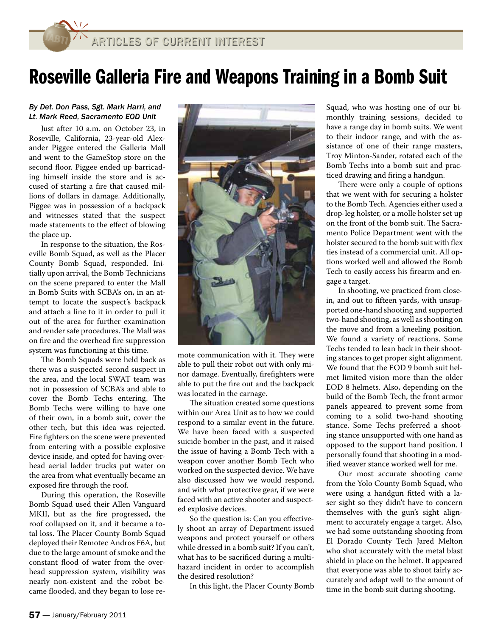## Roseville Galleria Fire and Weapons Training in a Bomb Suit

## By Det. Don Pass, Sgt. Mark Harri, and Lt. Mark Reed, Sacramento EOD Unit

Just after 10 a.m. on October 23, in Roseville, California, 23-year-old Alexander Piggee entered the Galleria Mall and went to the GameStop store on the second floor. Piggee ended up barricading himself inside the store and is accused of starting a fire that caused millions of dollars in damage. Additionally, Piggee was in possession of a backpack and witnesses stated that the suspect made statements to the effect of blowing the place up.

In response to the situation, the Roseville Bomb Squad, as well as the Placer County Bomb Squad, responded. Initially upon arrival, the Bomb Technicians on the scene prepared to enter the Mall in Bomb Suits with SCBA's on, in an attempt to locate the suspect's backpack and attach a line to it in order to pull it out of the area for further examination and render safe procedures. The Mall was on fire and the overhead fire suppression system was functioning at this time.

The Bomb Squads were held back as there was a suspected second suspect in the area, and the local SWAT team was not in possession of SCBA's and able to cover the Bomb Techs entering. The Bomb Techs were willing to have one of their own, in a bomb suit, cover the other tech, but this idea was rejected. Fire fighters on the scene were prevented from entering with a possible explosive device inside, and opted for having overhead aerial ladder trucks put water on the area from what eventually became an exposed fire through the roof.

During this operation, the Roseville Bomb Squad used their Allen Vanguard MKII, but as the fire progressed, the roof collapsed on it, and it became a total loss. The Placer County Bomb Squad deployed their Remotec Andros F6A, but due to the large amount of smoke and the constant flood of water from the overhead suppression system, visibility was nearly non-existent and the robot became flooded, and they began to lose re-



mote communication with it. They were able to pull their robot out with only minor damage. Eventually, firefighters were able to put the fire out and the backpack was located in the carnage.

The situation created some questions within our Area Unit as to how we could respond to a similar event in the future. We have been faced with a suspected suicide bomber in the past, and it raised the issue of having a Bomb Tech with a weapon cover another Bomb Tech who worked on the suspected device. We have also discussed how we would respond, and with what protective gear, if we were faced with an active shooter and suspected explosive devices.

So the question is: Can you effectively shoot an array of Department-issued weapons and protect yourself or others while dressed in a bomb suit? If you can't, what has to be sacrificed during a multihazard incident in order to accomplish the desired resolution?

In this light, the Placer County Bomb

Squad, who was hosting one of our bimonthly training sessions, decided to have a range day in bomb suits. We went to their indoor range, and with the assistance of one of their range masters, Troy Minton-Sander, rotated each of the Bomb Techs into a bomb suit and practiced drawing and firing a handgun.

There were only a couple of options that we went with for securing a holster to the Bomb Tech. Agencies either used a drop-leg holster, or a molle holster set up on the front of the bomb suit. The Sacramento Police Department went with the holster secured to the bomb suit with flex ties instead of a commercial unit. All options worked well and allowed the Bomb Tech to easily access his firearm and engage a target.

In shooting, we practiced from closein, and out to fifteen yards, with unsupported one-hand shooting and supported two-hand shooting, as well as shooting on the move and from a kneeling position. We found a variety of reactions. Some Techs tended to lean back in their shooting stances to get proper sight alignment. We found that the EOD 9 bomb suit helmet limited vision more than the older EOD 8 helmets. Also, depending on the build of the Bomb Tech, the front armor panels appeared to prevent some from coming to a solid two-hand shooting stance. Some Techs preferred a shooting stance unsupported with one hand as opposed to the support hand position. I personally found that shooting in a modified weaver stance worked well for me.

Our most accurate shooting came from the Yolo County Bomb Squad, who were using a handgun fitted with a laser sight so they didn't have to concern themselves with the gun's sight alignment to accurately engage a target. Also, we had some outstanding shooting from El Dorado County Tech Jared Melton who shot accurately with the metal blast shield in place on the helmet. It appeared that everyone was able to shoot fairly accurately and adapt well to the amount of time in the bomb suit during shooting.